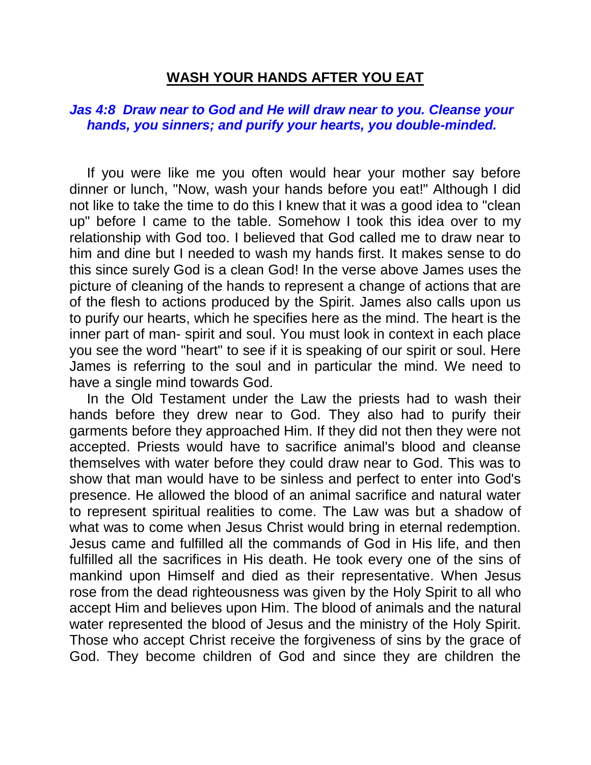## **WASH YOUR HANDS AFTER YOU EAT**

## *Jas 4:8 Draw near to God and He will draw near to you. Cleanse your hands, you sinners; and purify your hearts, you double-minded.*

If you were like me you often would hear your mother say before dinner or lunch, "Now, wash your hands before you eat!" Although I did not like to take the time to do this I knew that it was a good idea to "clean up" before I came to the table. Somehow I took this idea over to my relationship with God too. I believed that God called me to draw near to him and dine but I needed to wash my hands first. It makes sense to do this since surely God is a clean God! In the verse above James uses the picture of cleaning of the hands to represent a change of actions that are of the flesh to actions produced by the Spirit. James also calls upon us to purify our hearts, which he specifies here as the mind. The heart is the inner part of man- spirit and soul. You must look in context in each place you see the word "heart" to see if it is speaking of our spirit or soul. Here James is referring to the soul and in particular the mind. We need to have a single mind towards God.

In the Old Testament under the Law the priests had to wash their hands before they drew near to God. They also had to purify their garments before they approached Him. If they did not then they were not accepted. Priests would have to sacrifice animal's blood and cleanse themselves with water before they could draw near to God. This was to show that man would have to be sinless and perfect to enter into God's presence. He allowed the blood of an animal sacrifice and natural water to represent spiritual realities to come. The Law was but a shadow of what was to come when Jesus Christ would bring in eternal redemption. Jesus came and fulfilled all the commands of God in His life, and then fulfilled all the sacrifices in His death. He took every one of the sins of mankind upon Himself and died as their representative. When Jesus rose from the dead righteousness was given by the Holy Spirit to all who accept Him and believes upon Him. The blood of animals and the natural water represented the blood of Jesus and the ministry of the Holy Spirit. Those who accept Christ receive the forgiveness of sins by the grace of God. They become children of God and since they are children the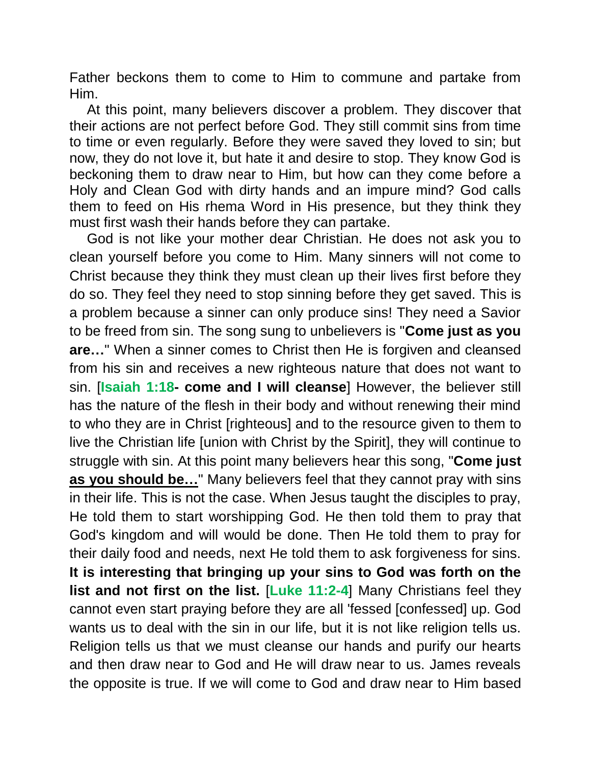Father beckons them to come to Him to commune and partake from Him.

At this point, many believers discover a problem. They discover that their actions are not perfect before God. They still commit sins from time to time or even regularly. Before they were saved they loved to sin; but now, they do not love it, but hate it and desire to stop. They know God is beckoning them to draw near to Him, but how can they come before a Holy and Clean God with dirty hands and an impure mind? God calls them to feed on His rhema Word in His presence, but they think they must first wash their hands before they can partake.

God is not like your mother dear Christian. He does not ask you to clean yourself before you come to Him. Many sinners will not come to Christ because they think they must clean up their lives first before they do so. They feel they need to stop sinning before they get saved. This is a problem because a sinner can only produce sins! They need a Savior to be freed from sin. The song sung to unbelievers is "**Come just as you are…**" When a sinner comes to Christ then He is forgiven and cleansed from his sin and receives a new righteous nature that does not want to sin. [**Isaiah 1:18- come and I will cleanse**] However, the believer still has the nature of the flesh in their body and without renewing their mind to who they are in Christ [righteous] and to the resource given to them to live the Christian life [union with Christ by the Spirit], they will continue to struggle with sin. At this point many believers hear this song, "**Come just as you should be…**" Many believers feel that they cannot pray with sins in their life. This is not the case. When Jesus taught the disciples to pray, He told them to start worshipping God. He then told them to pray that God's kingdom and will would be done. Then He told them to pray for their daily food and needs, next He told them to ask forgiveness for sins. **It is interesting that bringing up your sins to God was forth on the list and not first on the list.** [**Luke 11:2-4**] Many Christians feel they cannot even start praying before they are all 'fessed [confessed] up. God wants us to deal with the sin in our life, but it is not like religion tells us. Religion tells us that we must cleanse our hands and purify our hearts and then draw near to God and He will draw near to us. James reveals the opposite is true. If we will come to God and draw near to Him based